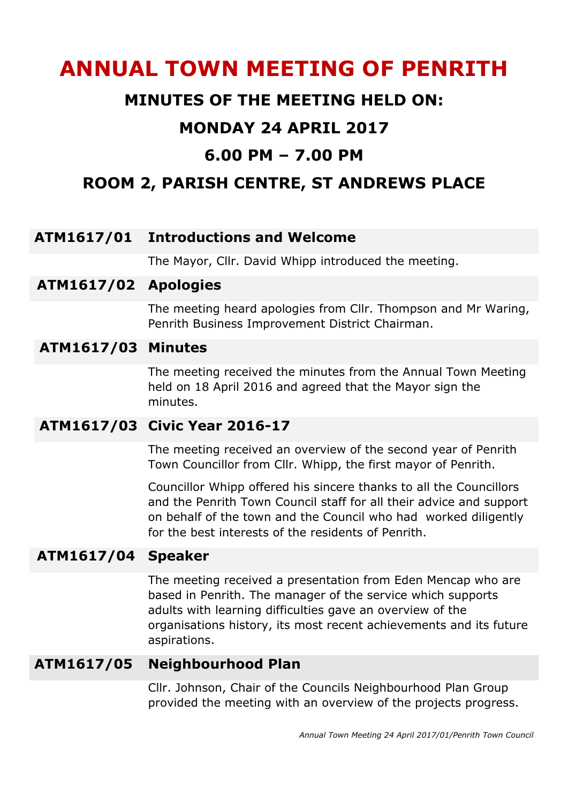# **ANNUAL TOWN MEETING OF PENRITH**

## **MINUTES OF THE MEETING HELD ON:**

## **MONDAY 24 APRIL 2017**

# **6.00 PM – 7.00 PM**

# **ROOM 2, PARISH CENTRE, ST ANDREWS PLACE**

#### **ATM1617/01 Introductions and Welcome**

The Mayor, Cllr. David Whipp introduced the meeting.

#### **ATM1617/02 Apologies**

The meeting heard apologies from Cllr. Thompson and Mr Waring, Penrith Business Improvement District Chairman.

#### **ATM1617/03 Minutes**

The meeting received the minutes from the Annual Town Meeting held on 18 April 2016 and agreed that the Mayor sign the minutes.

#### **ATM1617/03 Civic Year 2016-17**

The meeting received an overview of the second year of Penrith Town Councillor from Cllr. Whipp, the first mayor of Penrith.

Councillor Whipp offered his sincere thanks to all the Councillors and the Penrith Town Council staff for all their advice and support on behalf of the town and the Council who had worked diligently for the best interests of the residents of Penrith.

#### **ATM1617/04 Speaker**

The meeting received a presentation from Eden Mencap who are based in Penrith. The manager of the service which supports adults with learning difficulties gave an overview of the organisations history, its most recent achievements and its future aspirations.

#### **ATM1617/05 Neighbourhood Plan**

Cllr. Johnson, Chair of the Councils Neighbourhood Plan Group provided the meeting with an overview of the projects progress.